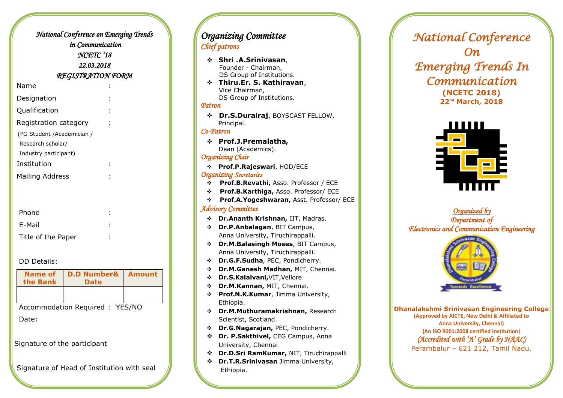|                            | National Conference on Emerging Trends |  |  |
|----------------------------|----------------------------------------|--|--|
|                            | in Communication                       |  |  |
| NCETC '18                  |                                        |  |  |
|                            | 22.03.2018                             |  |  |
| <b>REGISTRATION FORM</b>   |                                        |  |  |
| Name                       |                                        |  |  |
| Designation                |                                        |  |  |
| Qualification              |                                        |  |  |
| Registration category      |                                        |  |  |
| (PG Student /Academician / |                                        |  |  |
| Research scholar/          |                                        |  |  |
| Industry participant)      |                                        |  |  |
| Institution                |                                        |  |  |
| <b>Mailing Address</b>     |                                        |  |  |
|                            |                                        |  |  |
|                            |                                        |  |  |
| Phone                      |                                        |  |  |
| E-Mail                     |                                        |  |  |
| Title of the Paper         |                                        |  |  |

#### DD Details:

| Name of<br>the Bank             | <b>D.D Number&amp;</b><br><b>Date</b> | Amount |
|---------------------------------|---------------------------------------|--------|
|                                 |                                       |        |
| Accommodation Required : YES/NO |                                       |        |
| Date:                           |                                       |        |

Signature of the participant

Signature of Head of Institution with seal

## *Organizing Committee Chief patrons*

- **Shri .A.Srinivasan**, Founder - Chairman, DS Group of Institutions. **Thiru.Er. S. Kathiravan**, Vice Chairman, DS Group of Institutions. *Patron*   **Dr.S.Durairaj**, BOYSCAST FELLOW, Principal. *Co-Patron* **Prof.J.Premalatha,** Dean (Academics). *Organizing Chair* **Prof.P.Rajeswari**, HOD/ECE *Organizing Secretaries*  **Prof.B.Revathi,** Asso. Professor / ECE  **Prof.B.Karthiga,** Asso. Professor/ ECE  **Prof.A.Yogeshwaran,** Asst. Professor/ ECE *Advisory Committee* **Dr[.Ananth Krishnan,](http://www.ee.iitm.ac.in/user/ananthk)** IIT, Madras. **Dr.P.Anbalagan**, BIT Campus, Anna University, Tiruchirappalli. **Dr.M.Balasingh Moses**, BIT Campus, Anna University, Tiruchirappalli. **Dr.G.F.Sudha**, PEC, Pondicherry. **[Dr.M.Ganesh Madhan,](http://www.mitindia.edu/en/ece-faculty?id=408)** MIT, Chennai. **Dr.S.Kalaivani,**VIT,Vellore **Dr.M.Kannan,** MIT, Chennai. **Prof.N.K.Kumar**, Jimma University, Ethiopia. **Dr.M.Muthuramakrishnan,** Research
	- Scientist, Scotland.
	- **Dr.G.Nagarajan,** PEC, Pondicherry.
	- **Dr. P.Sakthivel,** CEG Campus, Anna University, Chennai
	- **Dr.D.Sri RamKumar,** NIT, Tiruchirappalli
	- **Dr.T.R.Srinivasan** Jimma University, Ethiopia.

*National Conference On Emerging Trends In Communication*  **(NCETC 2018) 22nd March, 2018**



*Organized by Department of Electronics and Communication Engineering* 



**Dhanalakshmi Srinivasan Engineering College (Approved by AICTE, New Delhi & Affiliated to Anna University, Chennai) (An ISO 9001:2008 certified Institution**) *(Accredited with 'A' Grade by NAAC)*  Perambalur – 621 212, Tamil Nadu.